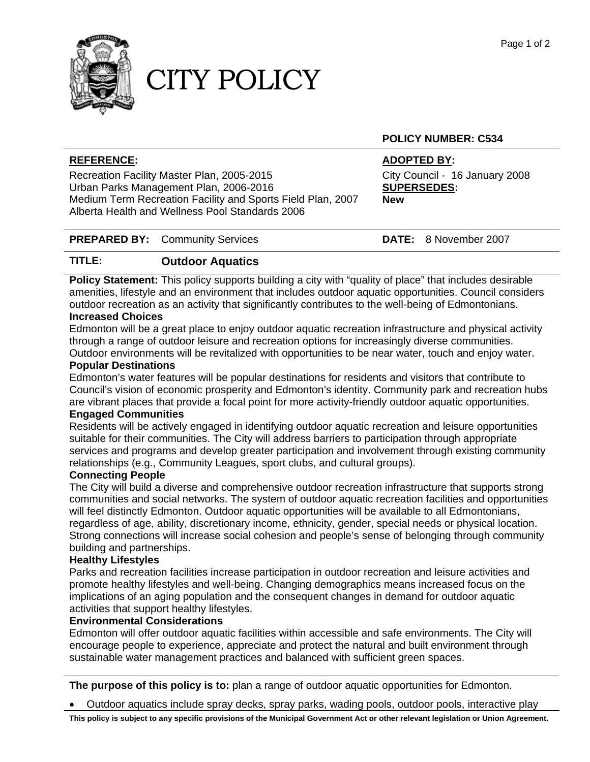

## CITY POLICY

#### **POLICY NUMBER: C534**

#### **REFERENCE: ADOPTED BY:**

Recreation Facility Master Plan, 2005-2015 City Council - 16 January 2008 Urban Parks Management Plan, 2006-2016 **SUPERSEDES:**  Medium Term Recreation Facility and Sports Field Plan, 2007 **New** Alberta Health and Wellness Pool Standards 2006

### **PREPARED BY:** Community Services **DATE:** 8 November 2007

## **TITLE: Outdoor Aquatics**

**Policy Statement:** This policy supports building a city with "quality of place" that includes desirable amenities, lifestyle and an environment that includes outdoor aquatic opportunities. Council considers outdoor recreation as an activity that significantly contributes to the well-being of Edmontonians.

#### **Increased Choices**

Edmonton will be a great place to enjoy outdoor aquatic recreation infrastructure and physical activity through a range of outdoor leisure and recreation options for increasingly diverse communities. Outdoor environments will be revitalized with opportunities to be near water, touch and enjoy water.

### **Popular Destinations**

Edmonton's water features will be popular destinations for residents and visitors that contribute to Council's vision of economic prosperity and Edmonton's identity. Community park and recreation hubs are vibrant places that provide a focal point for more activity-friendly outdoor aquatic opportunities. **Engaged Communities** 

Residents will be actively engaged in identifying outdoor aquatic recreation and leisure opportunities suitable for their communities. The City will address barriers to participation through appropriate services and programs and develop greater participation and involvement through existing community relationships (e.g., Community Leagues, sport clubs, and cultural groups).

#### **Connecting People**

The City will build a diverse and comprehensive outdoor recreation infrastructure that supports strong communities and social networks. The system of outdoor aquatic recreation facilities and opportunities will feel distinctly Edmonton. Outdoor aquatic opportunities will be available to all Edmontonians, regardless of age, ability, discretionary income, ethnicity, gender, special needs or physical location. Strong connections will increase social cohesion and people's sense of belonging through community building and partnerships.

#### **Healthy Lifestyles**

Parks and recreation facilities increase participation in outdoor recreation and leisure activities and promote healthy lifestyles and well-being. Changing demographics means increased focus on the implications of an aging population and the consequent changes in demand for outdoor aquatic activities that support healthy lifestyles.

#### **Environmental Considerations**

Edmonton will offer outdoor aquatic facilities within accessible and safe environments. The City will encourage people to experience, appreciate and protect the natural and built environment through sustainable water management practices and balanced with sufficient green spaces.

**The purpose of this policy is to:** plan a range of outdoor aquatic opportunities for Edmonton.

• Outdoor aquatics include spray decks, spray parks, wading pools, outdoor pools, interactive play

**This policy is subject to any specific provisions of the Municipal Government Act or other relevant legislation or Union Agreement.**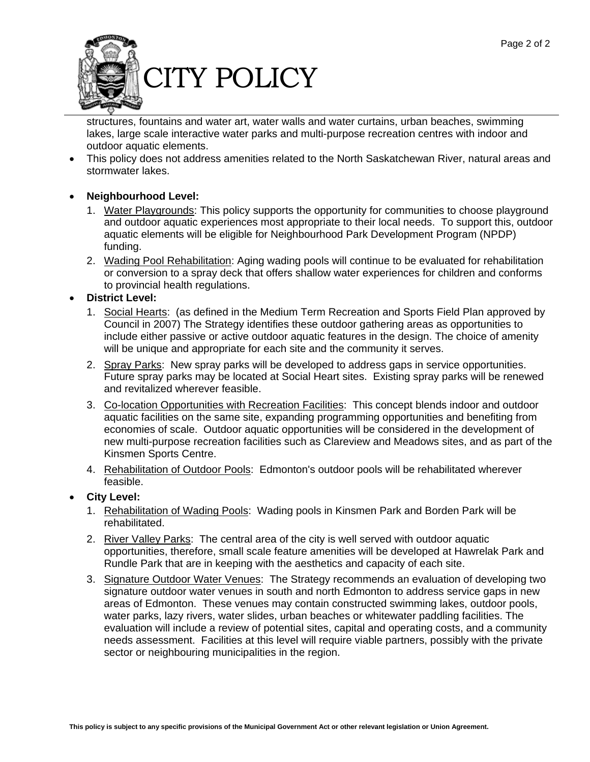

structures, fountains and water art, water walls and water curtains, urban beaches, swimming lakes, large scale interactive water parks and multi-purpose recreation centres with indoor and outdoor aquatic elements.

 This policy does not address amenities related to the North Saskatchewan River, natural areas and stormwater lakes.

#### **Neighbourhood Level:**

- 1. Water Playgrounds: This policy supports the opportunity for communities to choose playground and outdoor aquatic experiences most appropriate to their local needs. To support this, outdoor aquatic elements will be eligible for Neighbourhood Park Development Program (NPDP) funding.
- 2. Wading Pool Rehabilitation: Aging wading pools will continue to be evaluated for rehabilitation or conversion to a spray deck that offers shallow water experiences for children and conforms to provincial health regulations.

#### **District Level:**

- 1. Social Hearts: (as defined in the Medium Term Recreation and Sports Field Plan approved by Council in 2007) The Strategy identifies these outdoor gathering areas as opportunities to include either passive or active outdoor aquatic features in the design. The choice of amenity will be unique and appropriate for each site and the community it serves.
- 2. Spray Parks: New spray parks will be developed to address gaps in service opportunities. Future spray parks may be located at Social Heart sites. Existing spray parks will be renewed and revitalized wherever feasible.
- 3. Co-location Opportunities with Recreation Facilities: This concept blends indoor and outdoor aquatic facilities on the same site, expanding programming opportunities and benefiting from economies of scale. Outdoor aquatic opportunities will be considered in the development of new multi-purpose recreation facilities such as Clareview and Meadows sites, and as part of the Kinsmen Sports Centre.
- 4. Rehabilitation of Outdoor Pools: Edmonton's outdoor pools will be rehabilitated wherever feasible.

#### **City Level:**

- 1. Rehabilitation of Wading Pools: Wading pools in Kinsmen Park and Borden Park will be rehabilitated.
- 2. River Valley Parks: The central area of the city is well served with outdoor aquatic opportunities, therefore, small scale feature amenities will be developed at Hawrelak Park and Rundle Park that are in keeping with the aesthetics and capacity of each site.
- 3. Signature Outdoor Water Venues: The Strategy recommends an evaluation of developing two signature outdoor water venues in south and north Edmonton to address service gaps in new areas of Edmonton. These venues may contain constructed swimming lakes, outdoor pools, water parks, lazy rivers, water slides, urban beaches or whitewater paddling facilities. The evaluation will include a review of potential sites, capital and operating costs, and a community needs assessment. Facilities at this level will require viable partners, possibly with the private sector or neighbouring municipalities in the region.